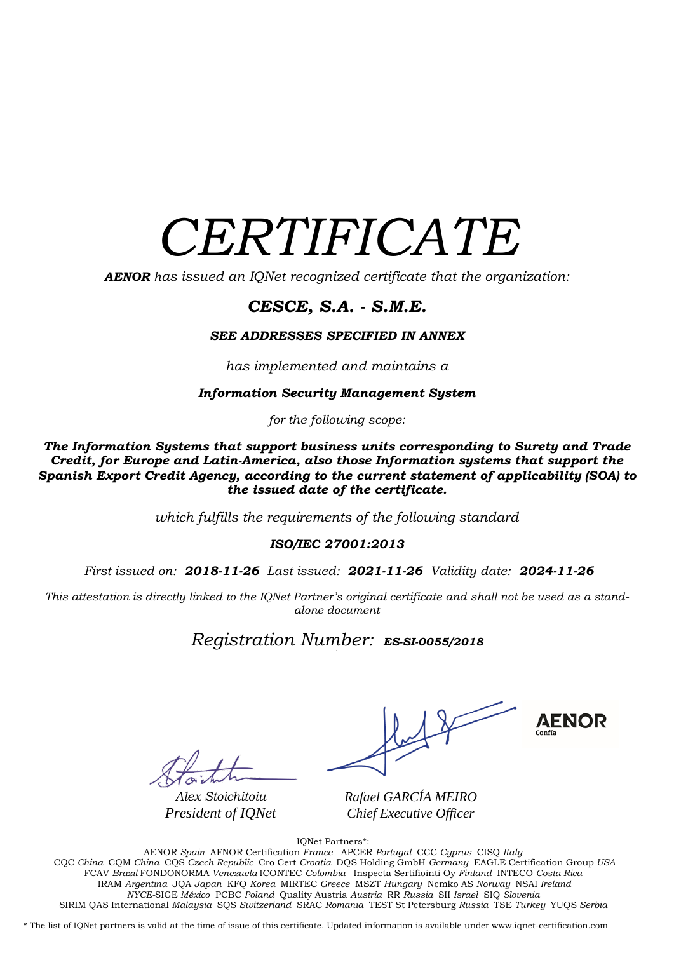# *CERTIFICATE*

*AENOR has issued an IQNet recognized certificate that the organization:*

### *CESCE, S.A. - S.M.E.*

#### *SEE ADDRESSES SPECIFIED IN ANNEX*

*has implemented and maintains a*

#### *Information Security Management System*

*for the following scope:* 

*The Information Systems that support business units corresponding to Surety and Trade Credit, for Europe and Latin-America, also those Information systems that support the Spanish Export Credit Agency, according to the current statement of applicability (SOA) to the issued date of the certificate.*

*which fulfills the requirements of the following standard*

#### *ISO/IEC 27001:2013*

*First issued on: 2018-11-26 Last issued: 2021-11-26 Validity date: 2024-11-26*

This attestation is directly linked to the IQNet Partner's original certificate and shall not be used as a stand*alone document*

*Registration Number: ES-SI-0055/2018*

*Alex Stoichitoiu President of IQNet*

**AENOR** 

*Rafael GARCÍA MEIRO Chief Executive Officer*

IQNet Partners\*:

AENOR *Spain* AFNOR Certification *France* APCER *Portugal* CCC *Cyprus* CISQ *Italy* CQC *China* CQM *China* CQS *Czech Republic* Cro Cert *Croatia* DQS Holding GmbH *Germany* EAGLE Certification Group *USA* FCAV *Brazil* FONDONORMA *Venezuela* ICONTEC *Colombia* Inspecta Sertifiointi Oy *Finland* INTECO *Costa Rica* IRAM *Argentina* JQA *Japan* KFQ *Korea* MIRTEC *Greece* MSZT *Hungary* Nemko AS *Norway* NSAI *Ireland NYCE-*SIGE *México* PCBC *Poland* Quality Austria *Austria* RR *Russia* SII *Israel* SIQ *Slovenia*  SIRIM QAS International *Malaysia* SQS *Switzerland* SRAC *Romania* TEST St Petersburg *Russia* TSE *Turkey* YUQS *Serbia*

\* The list of IQNet partners is valid at the time of issue of this certificate. Updated information is available under www.iqnet-certification.com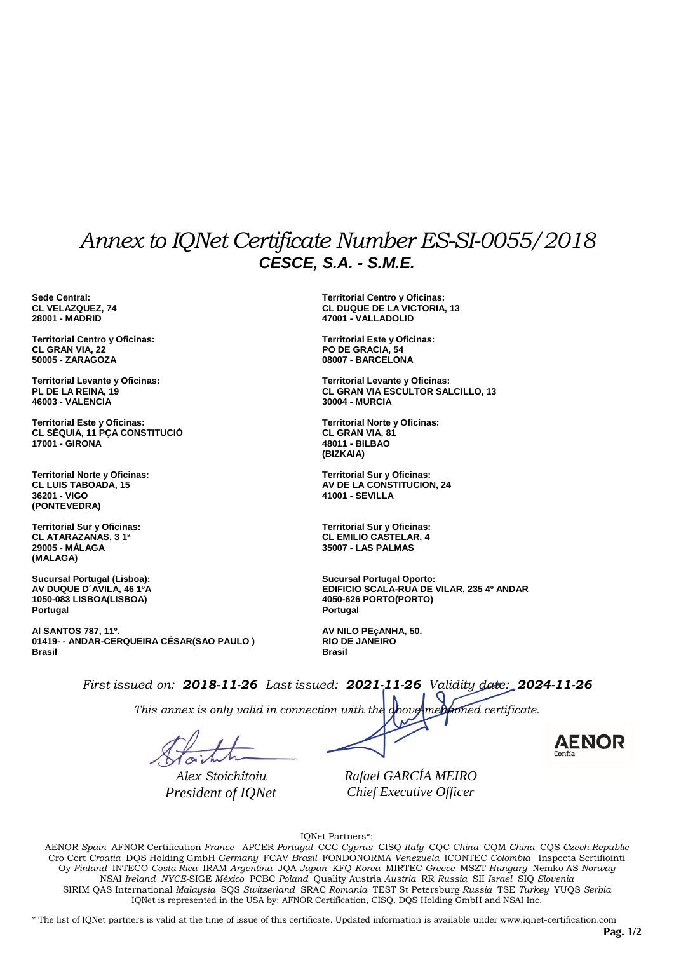## *Annex to IQNet Certificate Number ES-SI-0055/2018 CESCE, S.A. - S.M.E.*

**Sede Central: CL VELAZQUEZ, 74 28001 - MADRID**

**Territorial Centro y Oficinas: CL GRAN VIA, 22 50005 - ZARAGOZA**

**Territorial Levante y Oficinas: PL DE LA REINA, 19 46003 - VALENCIA**

**Territorial Este y Oficinas: CL SÈQUIA, 11 PÇA CONSTITUCIÓ 17001 - GIRONA**

**Territorial Norte y Oficinas: CL LUIS TABOADA, 15 36201 - VIGO (PONTEVEDRA)**

**Territorial Sur y Oficinas: CL ATARAZANAS, 3 1ª 29005 - MÁLAGA (MALAGA)**

**Sucursal Portugal (Lisboa): AV DUQUE D´AVILA, 46 1ºA 1050-083 LISBOA(LISBOA) Portugal**

**Al SANTOS 787, 11º. 01419- - ANDAR-CERQUEIRA CÉSAR(SAO PAULO ) Brasil**

**Territorial Centro y Oficinas: CL DUQUE DE LA VICTORIA, 13 47001 - VALLADOLID**

**Territorial Este y Oficinas: PO DE GRACIA, 54 08007 - BARCELONA**

**Territorial Levante y Oficinas: CL GRAN VIA ESCULTOR SALCILLO, 13 30004 - MURCIA**

**Territorial Norte y Oficinas: CL GRAN VIA, 81 48011 - BILBAO (BIZKAIA)**

**Territorial Sur y Oficinas: AV DE LA CONSTITUCION, 24 41001 - SEVILLA**

**Territorial Sur y Oficinas: CL EMILIO CASTELAR, 4 35007 - LAS PALMAS**

**Sucursal Portugal Oporto: EDIFICIO SCALA-RUA DE VILAR, 235 4º ANDAR 4050-626 PORTO(PORTO) Portugal**

**AV NILO PEçANHA, 50. RIO DE JANEIRO Brasil**

*First issued on: 2018-11-26 Last issued: 2021-11-26 Validity date: 2024-11-26*

*This annex is only valid in connection with the above-mentioned certificate.*

*Alex Stoichitoiu President of IQNet*

*Rafael GARCÍA MEIRO Chief Executive Officer*

IQNet Partners\*:

AENOR *Spain* AFNOR Certification *France* APCER *Portugal* CCC *Cyprus* CISQ *Italy* CQC *China* CQM *China* CQS *Czech Republic*  Cro Cert *Croatia* DQS Holding GmbH *Germany* FCAV *Brazil* FONDONORMA *Venezuela* ICONTEC *Colombia* Inspecta Sertifiointi Oy *Finland* INTECO *Costa Rica* IRAM *Argentina* JQA *Japan* KFQ *Korea* MIRTEC *Greece* MSZT *Hungary* Nemko AS *Norway*  NSAI *Ireland NYCE-*SIGE *México* PCBC *Poland* Quality Austria *Austria* RR *Russia* SII *Israel* SIQ *Slovenia*  SIRIM QAS International *Malaysia* SQS *Switzerland* SRAC *Romania* TEST St Petersburg *Russia* TSE *Turkey* YUQS *Serbia* IQNet is represented in the USA by: AFNOR Certification, CISQ, DQS Holding GmbH and NSAI Inc.

\* The list of IQNet partners is valid at the time of issue of this certificate. Updated information is available under www.iqnet-certification.com

AENOR